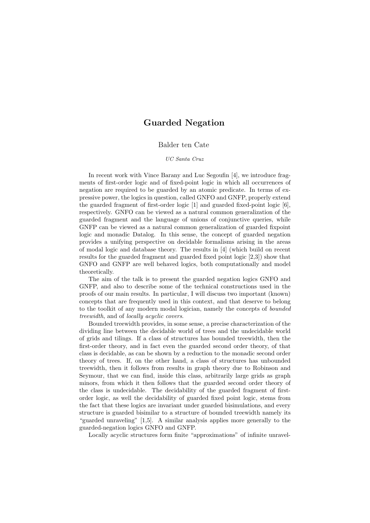## Guarded Negation

## Balder ten Cate

## UC Santa Cruz

In recent work with Vince Barany and Luc Segoufin [\[4\]](#page-1-0), we introduce fragments of first-order logic and of fixed-point logic in which all occurrences of negation are required to be guarded by an atomic predicate. In terms of expressive power, the logics in question, called GNFO and GNFP, properly extend the guarded fragment of first-order logic [\[1\]](#page-1-1) and guarded fixed-point logic [\[6\]](#page-1-2), respectively. GNFO can be viewed as a natural common generalization of the guarded fragment and the language of unions of conjunctive queries, while GNFP can be viewed as a natural common generalization of guarded fixpoint logic and monadic Datalog. In this sense, the concept of guarded negation provides a unifying perspective on decidable formalisms arising in the areas of modal logic and database theory. The results in [\[4\]](#page-1-0) (which build on recent results for the guarded fragment and guarded fixed point logic [\[2,](#page-1-3)[3\]](#page-1-4)) show that GNFO and GNFP are well behaved logics, both computationally and model theoretically.

The aim of the talk is to present the guarded negation logics GNFO and GNFP, and also to describe some of the technical constructions used in the proofs of our main results. In particular, I will discuss two important (known) concepts that are frequently used in this context, and that deserve to belong to the toolkit of any modern modal logician, namely the concepts of bounded treewidth, and of locally acyclic covers.

Bounded treewidth provides, in some sense, a precise characterization of the dividing line between the decidable world of trees and the undecidable world of grids and tilings. If a class of structures has bounded treewidth, then the first-order theory, and in fact even the guarded second order theory, of that class is decidable, as can be shown by a reduction to the monadic second order theory of trees. If, on the other hand, a class of structures has unbounded treewidth, then it follows from results in graph theory due to Robinson and Seymour, that we can find, inside this class, arbitrarily large grids as graph minors, from which it then follows that the guarded second order theory of the class is undecidable. The decidability of the guarded fragment of firstorder logic, as well the decidability of guarded fixed point logic, stems from the fact that these logics are invariant under guarded bisimulations, and every structure is guarded bisimilar to a structure of bounded treewidth namely its "guarded unraveling" [\[1,](#page-1-1)[5\]](#page-1-5). A similar analysis applies more generally to the guarded-negation logics GNFO and GNFP.

Locally acyclic structures form finite "approximations" of infinite unravel-